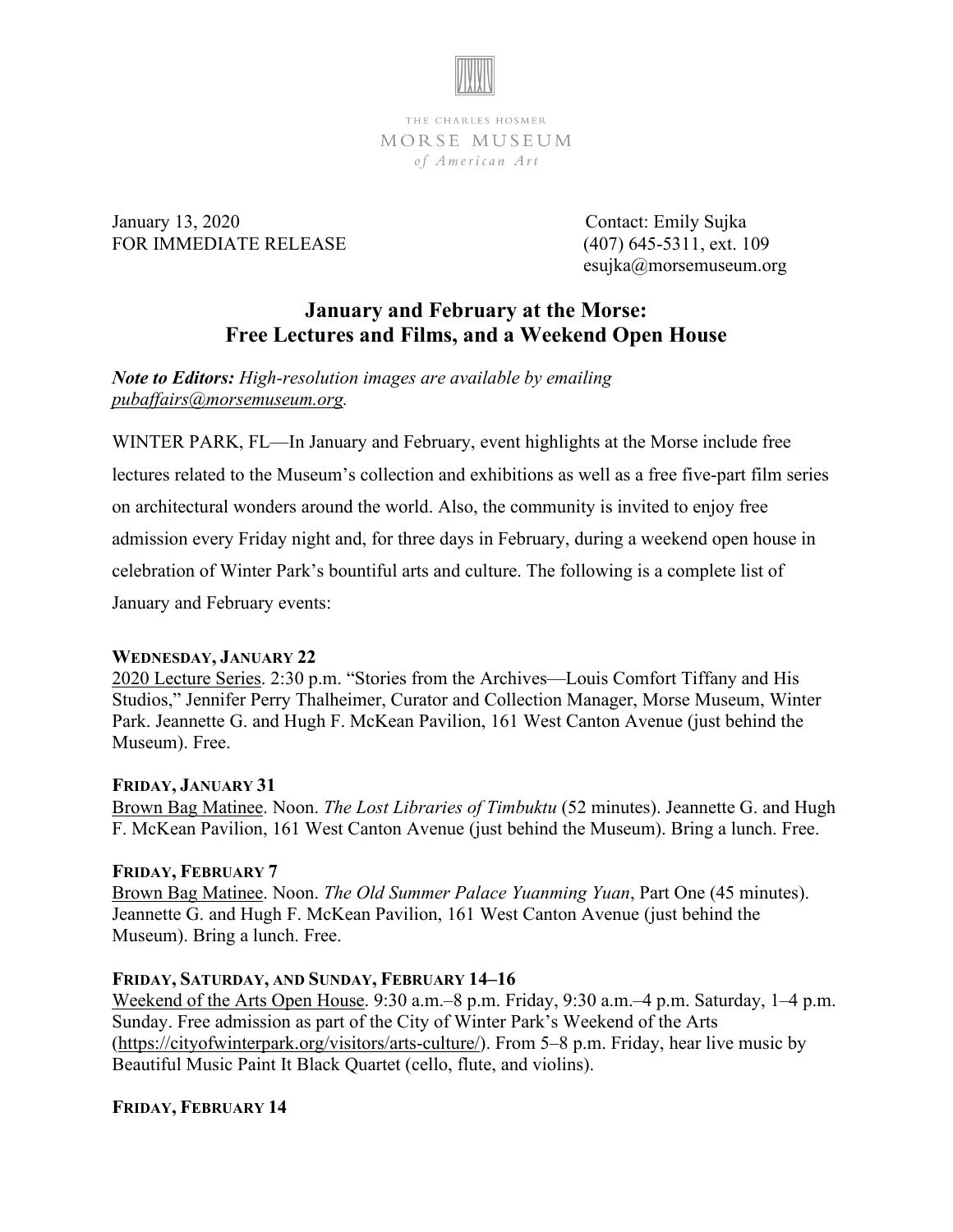

THE CHARLES HOSMER MORSE MUSEUM of American Art

January 13, 2020 Contact: Emily Sujka FOR IMMEDIATE RELEASE (407) 645-5311, ext. 109

esujka@morsemuseum.org

# **January and February at the Morse: Free Lectures and Films, and a Weekend Open House**

*Note to Editors: High-resolution images are available by emailing [pubaffairs@morsemuseum.org.](mailto:pubaffairs@morsemuseum.org)* 

WINTER PARK, FL—In January and February, event highlights at the Morse include free lectures related to the Museum's collection and exhibitions as well as a free five-part film series on architectural wonders around the world. Also, the community is invited to enjoy free admission every Friday night and, for three days in February, during a weekend open house in celebration of Winter Park's bountiful arts and culture. The following is a complete list of January and February events:

## **WEDNESDAY, JANUARY 22**

2020 Lecture Series. 2:30 p.m. "Stories from the Archives—Louis Comfort Tiffany and His Studios," Jennifer Perry Thalheimer, Curator and Collection Manager, Morse Museum, Winter Park. Jeannette G. and Hugh F. McKean Pavilion, 161 West Canton Avenue (just behind the Museum). Free.

## **FRIDAY, JANUARY 31**

Brown Bag Matinee. Noon. *The Lost Libraries of Timbuktu* (52 minutes). Jeannette G. and Hugh F. McKean Pavilion, 161 West Canton Avenue (just behind the Museum). Bring a lunch. Free.

## **FRIDAY, FEBRUARY 7**

Brown Bag Matinee. Noon. *The Old Summer Palace Yuanming Yuan*, Part One (45 minutes). Jeannette G. and Hugh F. McKean Pavilion, 161 West Canton Avenue (just behind the Museum). Bring a lunch. Free.

## **FRIDAY, SATURDAY, AND SUNDAY, FEBRUARY 14–16**

Weekend of the Arts Open House. 9:30 a.m.–8 p.m. Friday, 9:30 a.m.–4 p.m. Saturday, 1–4 p.m. Sunday. Free admission as part of the City of Winter Park's Weekend of the Arts (https://cityofwinterpark.org/visitors/arts-culture/). From 5–8 p.m. Friday, hear live music by Beautiful Music Paint It Black Quartet (cello, flute, and violins).

# **FRIDAY, FEBRUARY 14**